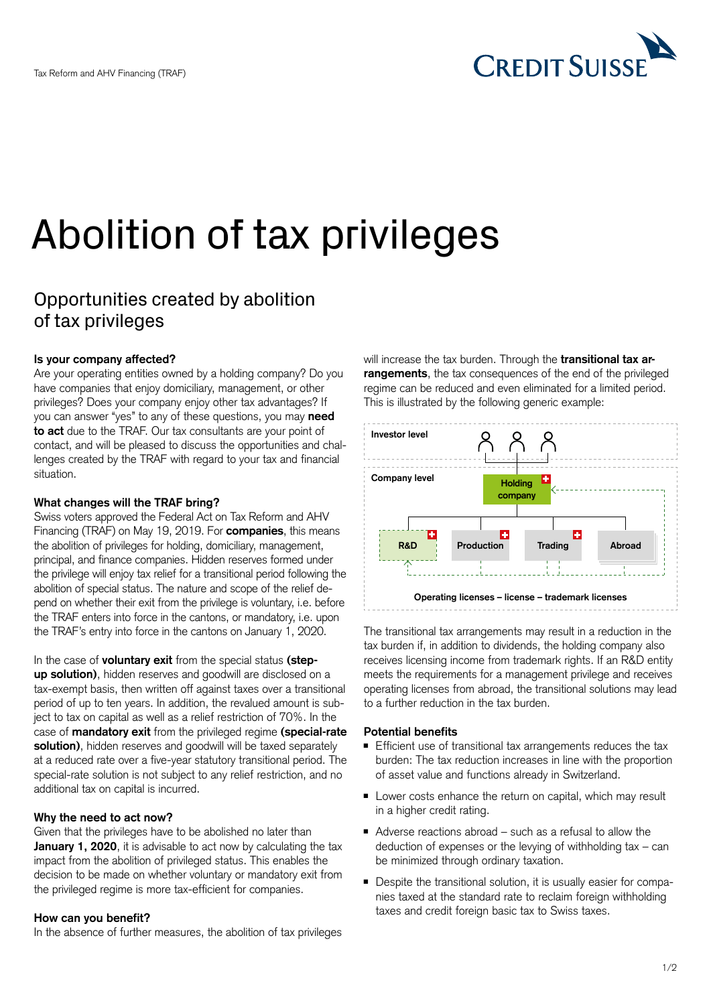

# Abolition of tax privileges

# Opportunities created by abolition of tax privileges

# **Is your company affected?**

Are your operating entities owned by a holding company? Do you have companies that enjoy domiciliary, management, or other privileges? Does your company enjoy other tax advantages? If you can answer "yes" to any of these questions, you may **need to act** due to the TRAF. Our tax consultants are your point of contact, and will be pleased to discuss the opportunities and challenges created by the TRAF with regard to your tax and financial situation.

#### **What changes will the TRAF bring?**

Swiss voters approved the Federal Act on Tax Reform and AHV Financing (TRAF) on May 19, 2019. For **companies**, this means the abolition of privileges for holding, domiciliary, management, principal, and finance companies. Hidden reserves formed under the privilege will enjoy tax relief for a transitional period following the abolition of special status. The nature and scope of the relief depend on whether their exit from the privilege is voluntary, i.e. before the TRAF enters into force in the cantons, or mandatory, i.e. upon the TRAF's entry into force in the cantons on January 1, 2020.

In the case of **voluntary exit** from the special status **(stepup solution)**, hidden reserves and goodwill are disclosed on a tax-exempt basis, then written off against taxes over a transitional period of up to ten years. In addition, the revalued amount is subject to tax on capital as well as a relief restriction of 70%. In the case of **mandatory exit** from the privileged regime **(special-rate solution)**, hidden reserves and goodwill will be taxed separately at a reduced rate over a five-year statutory transitional period. The special-rate solution is not subject to any relief restriction, and no additional tax on capital is incurred.

# **Why the need to act now?**

Given that the privileges have to be abolished no later than **January 1, 2020**, it is advisable to act now by calculating the tax impact from the abolition of privileged status. This enables the decision to be made on whether voluntary or mandatory exit from the privileged regime is more tax-efficient for companies.

#### **How can you benefit?**

In the absence of further measures, the abolition of tax privileges

will increase the tax burden. Through the **transitional tax arrangements**, the tax consequences of the end of the privileged regime can be reduced and even eliminated for a limited period. This is illustrated by the following generic example:



The transitional tax arrangements may result in a reduction in the tax burden if, in addition to dividends, the holding company also receives licensing income from trademark rights. If an R&D entity meets the requirements for a management privilege and receives operating licenses from abroad, the transitional solutions may lead to a further reduction in the tax burden.

#### **Potential benefits**

- Efficient use of transitional tax arrangements reduces the tax burden: The tax reduction increases in line with the proportion of asset value and functions already in Switzerland.
- Lower costs enhance the return on capital, which may result in a higher credit rating.
- $\blacksquare$  Adverse reactions abroad such as a refusal to allow the deduction of expenses or the levying of withholding tax – can be minimized through ordinary taxation.
- Despite the transitional solution, it is usually easier for companies taxed at the standard rate to reclaim foreign withholding taxes and credit foreign basic tax to Swiss taxes.